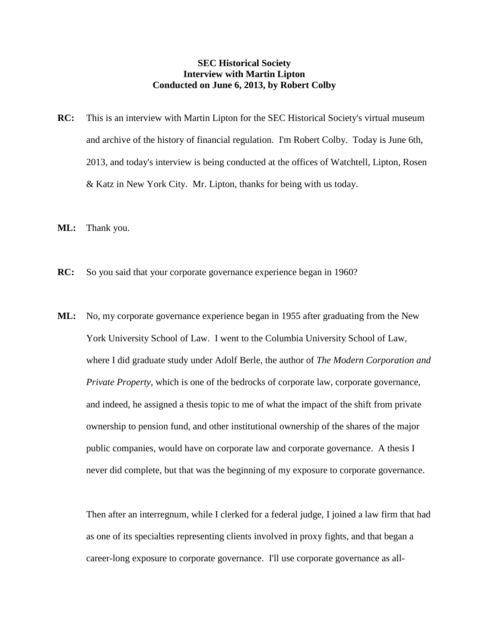## **SEC Historical Society Interview with Martin Lipton Conducted on June 6, 2013, by Robert Colby**

- **RC:** This is an interview with Martin Lipton for the SEC Historical Society's virtual museum and archive of the history of financial regulation. I'm Robert Colby. Today is June 6th, 2013, and today's interview is being conducted at the offices of Watchtell, Lipton, Rosen & Katz in New York City. Mr. Lipton, thanks for being with us today.
- **ML:** Thank you.
- **RC:** So you said that your corporate governance experience began in 1960?
- **ML:** No, my corporate governance experience began in 1955 after graduating from the New York University School of Law. I went to the Columbia University School of Law, where I did graduate study under Adolf Berle, the author of *The Modern Corporation and Private Property*, which is one of the bedrocks of corporate law, corporate governance, and indeed, he assigned a thesis topic to me of what the impact of the shift from private ownership to pension fund, and other institutional ownership of the shares of the major public companies, would have on corporate law and corporate governance. A thesis I never did complete, but that was the beginning of my exposure to corporate governance.

Then after an interregnum, while I clerked for a federal judge, I joined a law firm that had as one of its specialties representing clients involved in proxy fights, and that began a career-long exposure to corporate governance. I'll use corporate governance as all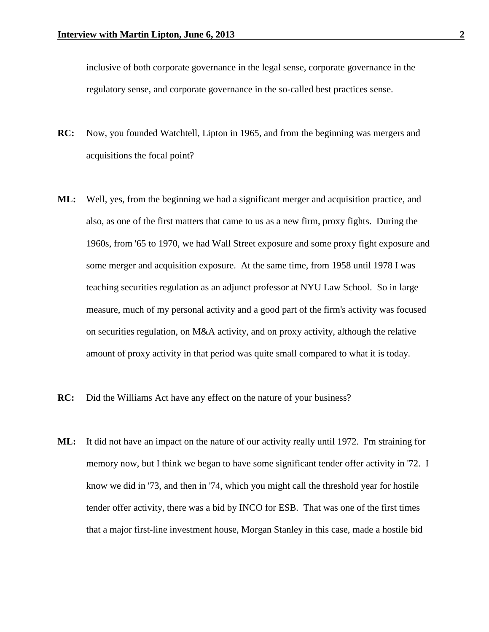inclusive of both corporate governance in the legal sense, corporate governance in the regulatory sense, and corporate governance in the so-called best practices sense.

- **RC:** Now, you founded Watchtell, Lipton in 1965, and from the beginning was mergers and acquisitions the focal point?
- **ML:** Well, yes, from the beginning we had a significant merger and acquisition practice, and also, as one of the first matters that came to us as a new firm, proxy fights. During the 1960s, from '65 to 1970, we had Wall Street exposure and some proxy fight exposure and some merger and acquisition exposure. At the same time, from 1958 until 1978 I was teaching securities regulation as an adjunct professor at NYU Law School. So in large measure, much of my personal activity and a good part of the firm's activity was focused on securities regulation, on M&A activity, and on proxy activity, although the relative amount of proxy activity in that period was quite small compared to what it is today.
- **RC:** Did the Williams Act have any effect on the nature of your business?
- **ML:** It did not have an impact on the nature of our activity really until 1972. I'm straining for memory now, but I think we began to have some significant tender offer activity in '72. I know we did in '73, and then in '74, which you might call the threshold year for hostile tender offer activity, there was a bid by INCO for ESB. That was one of the first times that a major first-line investment house, Morgan Stanley in this case, made a hostile bid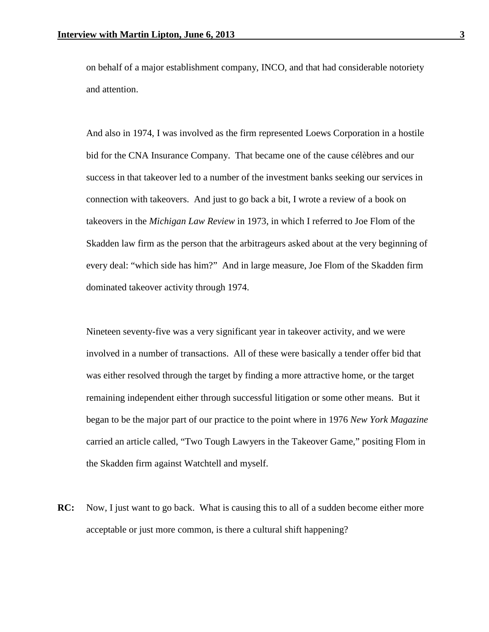on behalf of a major establishment company, INCO, and that had considerable notoriety and attention.

And also in 1974, I was involved as the firm represented Loews Corporation in a hostile bid for the CNA Insurance Company. That became one of the cause célèbres and our success in that takeover led to a number of the investment banks seeking our services in connection with takeovers. And just to go back a bit, I wrote a review of a book on takeovers in the *Michigan Law Review* in 1973, in which I referred to Joe Flom of the Skadden law firm as the person that the arbitrageurs asked about at the very beginning of every deal: "which side has him?" And in large measure, Joe Flom of the Skadden firm dominated takeover activity through 1974.

Nineteen seventy-five was a very significant year in takeover activity, and we were involved in a number of transactions. All of these were basically a tender offer bid that was either resolved through the target by finding a more attractive home, or the target remaining independent either through successful litigation or some other means. But it began to be the major part of our practice to the point where in 1976 *New York Magazine* carried an article called, "Two Tough Lawyers in the Takeover Game," positing Flom in the Skadden firm against Watchtell and myself.

**RC:** Now, I just want to go back. What is causing this to all of a sudden become either more acceptable or just more common, is there a cultural shift happening?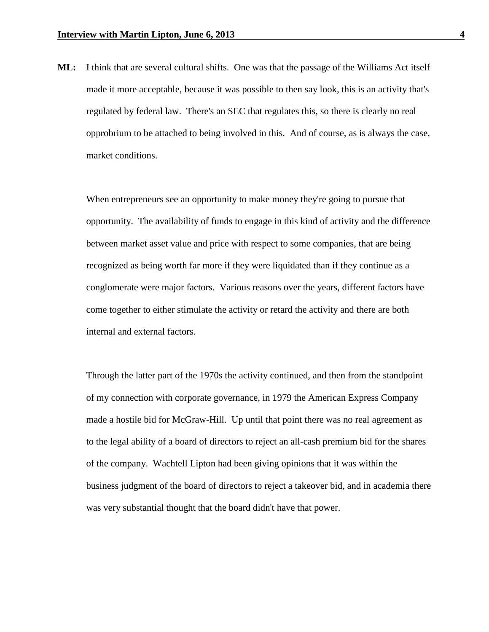**ML:** I think that are several cultural shifts. One was that the passage of the Williams Act itself made it more acceptable, because it was possible to then say look, this is an activity that's regulated by federal law. There's an SEC that regulates this, so there is clearly no real opprobrium to be attached to being involved in this. And of course, as is always the case, market conditions.

When entrepreneurs see an opportunity to make money they're going to pursue that opportunity. The availability of funds to engage in this kind of activity and the difference between market asset value and price with respect to some companies, that are being recognized as being worth far more if they were liquidated than if they continue as a conglomerate were major factors. Various reasons over the years, different factors have come together to either stimulate the activity or retard the activity and there are both internal and external factors.

Through the latter part of the 1970s the activity continued, and then from the standpoint of my connection with corporate governance, in 1979 the American Express Company made a hostile bid for McGraw-Hill. Up until that point there was no real agreement as to the legal ability of a board of directors to reject an all-cash premium bid for the shares of the company. Wachtell Lipton had been giving opinions that it was within the business judgment of the board of directors to reject a takeover bid, and in academia there was very substantial thought that the board didn't have that power.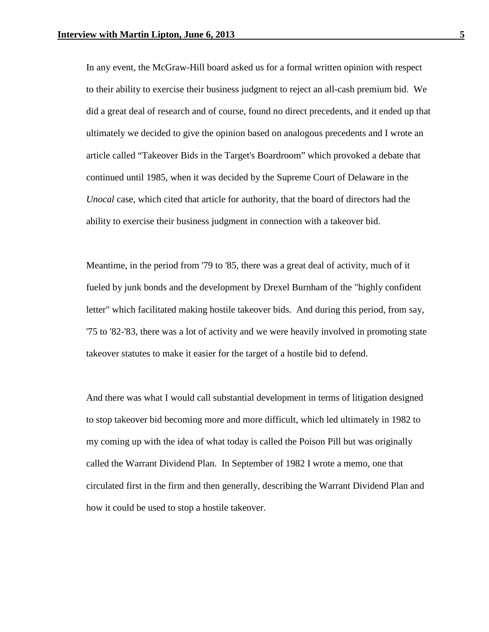In any event, the McGraw-Hill board asked us for a formal written opinion with respect to their ability to exercise their business judgment to reject an all-cash premium bid. We did a great deal of research and of course, found no direct precedents, and it ended up that ultimately we decided to give the opinion based on analogous precedents and I wrote an article called "Takeover Bids in the Target's Boardroom" which provoked a debate that continued until 1985, when it was decided by the Supreme Court of Delaware in the *Unocal* case, which cited that article for authority, that the board of directors had the ability to exercise their business judgment in connection with a takeover bid.

Meantime, in the period from '79 to '85, there was a great deal of activity, much of it fueled by junk bonds and the development by Drexel Burnham of the "highly confident letter" which facilitated making hostile takeover bids. And during this period, from say, '75 to '82-'83, there was a lot of activity and we were heavily involved in promoting state takeover statutes to make it easier for the target of a hostile bid to defend.

And there was what I would call substantial development in terms of litigation designed to stop takeover bid becoming more and more difficult, which led ultimately in 1982 to my coming up with the idea of what today is called the Poison Pill but was originally called the Warrant Dividend Plan. In September of 1982 I wrote a memo, one that circulated first in the firm and then generally, describing the Warrant Dividend Plan and how it could be used to stop a hostile takeover.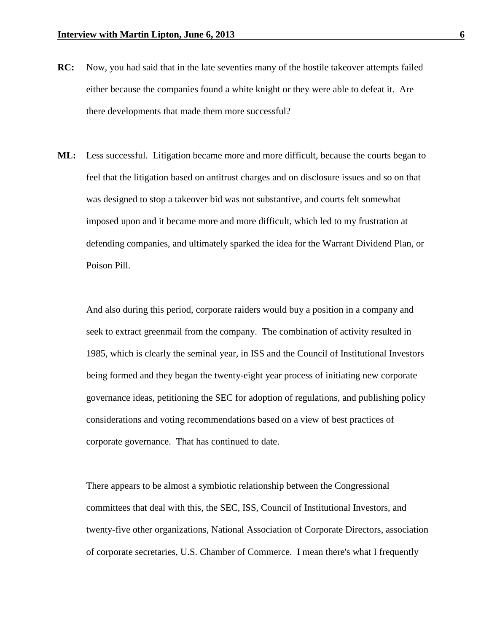- **RC:** Now, you had said that in the late seventies many of the hostile takeover attempts failed either because the companies found a white knight or they were able to defeat it. Are there developments that made them more successful?
- **ML:** Less successful. Litigation became more and more difficult, because the courts began to feel that the litigation based on antitrust charges and on disclosure issues and so on that was designed to stop a takeover bid was not substantive, and courts felt somewhat imposed upon and it became more and more difficult, which led to my frustration at defending companies, and ultimately sparked the idea for the Warrant Dividend Plan, or Poison Pill.

And also during this period, corporate raiders would buy a position in a company and seek to extract greenmail from the company. The combination of activity resulted in 1985, which is clearly the seminal year, in ISS and the Council of Institutional Investors being formed and they began the twenty-eight year process of initiating new corporate governance ideas, petitioning the SEC for adoption of regulations, and publishing policy considerations and voting recommendations based on a view of best practices of corporate governance. That has continued to date.

There appears to be almost a symbiotic relationship between the Congressional committees that deal with this, the SEC, ISS, Council of Institutional Investors, and twenty-five other organizations, National Association of Corporate Directors, association of corporate secretaries, U.S. Chamber of Commerce. I mean there's what I frequently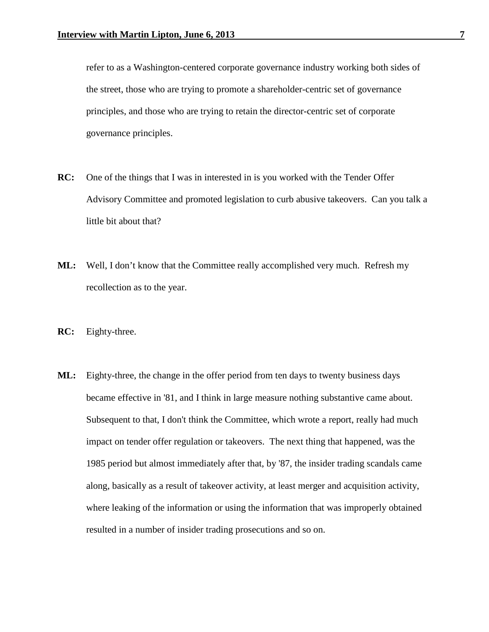refer to as a Washington-centered corporate governance industry working both sides of the street, those who are trying to promote a shareholder-centric set of governance principles, and those who are trying to retain the director-centric set of corporate governance principles.

- **RC:** One of the things that I was in interested in is you worked with the Tender Offer Advisory Committee and promoted legislation to curb abusive takeovers. Can you talk a little bit about that?
- **ML:** Well, I don't know that the Committee really accomplished very much. Refresh my recollection as to the year.
- **RC:** Eighty-three.
- **ML:** Eighty-three, the change in the offer period from ten days to twenty business days became effective in '81, and I think in large measure nothing substantive came about. Subsequent to that, I don't think the Committee, which wrote a report, really had much impact on tender offer regulation or takeovers. The next thing that happened, was the 1985 period but almost immediately after that, by '87, the insider trading scandals came along, basically as a result of takeover activity, at least merger and acquisition activity, where leaking of the information or using the information that was improperly obtained resulted in a number of insider trading prosecutions and so on.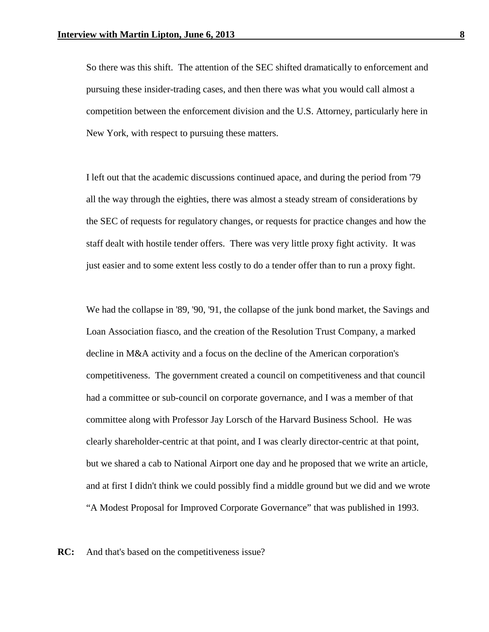So there was this shift. The attention of the SEC shifted dramatically to enforcement and pursuing these insider-trading cases, and then there was what you would call almost a competition between the enforcement division and the U.S. Attorney, particularly here in New York, with respect to pursuing these matters.

I left out that the academic discussions continued apace, and during the period from '79 all the way through the eighties, there was almost a steady stream of considerations by the SEC of requests for regulatory changes, or requests for practice changes and how the staff dealt with hostile tender offers. There was very little proxy fight activity. It was just easier and to some extent less costly to do a tender offer than to run a proxy fight.

We had the collapse in '89, '90, '91, the collapse of the junk bond market, the Savings and Loan Association fiasco, and the creation of the Resolution Trust Company, a marked decline in M&A activity and a focus on the decline of the American corporation's competitiveness. The government created a council on competitiveness and that council had a committee or sub-council on corporate governance, and I was a member of that committee along with Professor Jay Lorsch of the Harvard Business School. He was clearly shareholder-centric at that point, and I was clearly director-centric at that point, but we shared a cab to National Airport one day and he proposed that we write an article, and at first I didn't think we could possibly find a middle ground but we did and we wrote "A Modest Proposal for Improved Corporate Governance" that was published in 1993.

**RC:** And that's based on the competitiveness issue?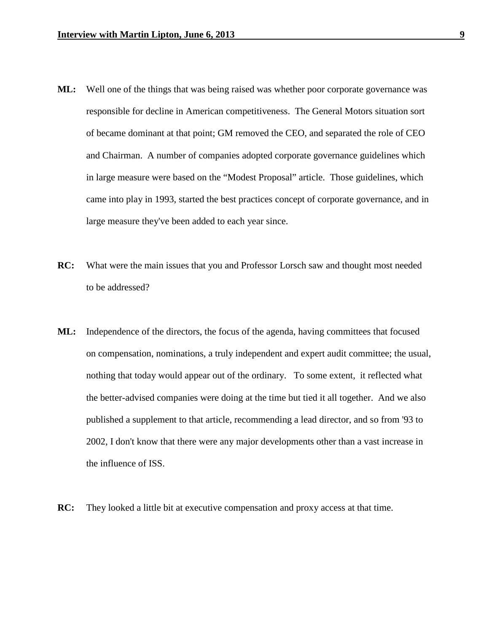- **ML:** Well one of the things that was being raised was whether poor corporate governance was responsible for decline in American competitiveness. The General Motors situation sort of became dominant at that point; GM removed the CEO, and separated the role of CEO and Chairman. A number of companies adopted corporate governance guidelines which in large measure were based on the "Modest Proposal" article. Those guidelines, which came into play in 1993, started the best practices concept of corporate governance, and in large measure they've been added to each year since.
- **RC:** What were the main issues that you and Professor Lorsch saw and thought most needed to be addressed?
- **ML:** Independence of the directors, the focus of the agenda, having committees that focused on compensation, nominations, a truly independent and expert audit committee; the usual, nothing that today would appear out of the ordinary. To some extent, it reflected what the better-advised companies were doing at the time but tied it all together. And we also published a supplement to that article, recommending a lead director, and so from '93 to 2002, I don't know that there were any major developments other than a vast increase in the influence of ISS.
- **RC:** They looked a little bit at executive compensation and proxy access at that time.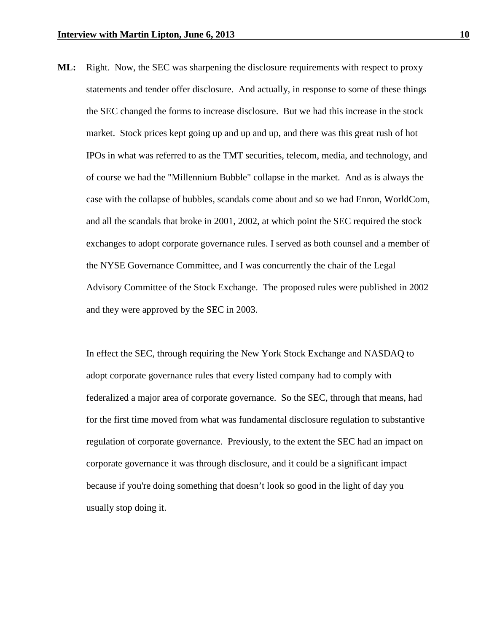**ML:** Right. Now, the SEC was sharpening the disclosure requirements with respect to proxy statements and tender offer disclosure. And actually, in response to some of these things the SEC changed the forms to increase disclosure. But we had this increase in the stock market. Stock prices kept going up and up and up, and there was this great rush of hot IPOs in what was referred to as the TMT securities, telecom, media, and technology, and of course we had the "Millennium Bubble" collapse in the market. And as is always the case with the collapse of bubbles, scandals come about and so we had Enron, WorldCom, and all the scandals that broke in 2001, 2002, at which point the SEC required the stock exchanges to adopt corporate governance rules. I served as both counsel and a member of the NYSE Governance Committee, and I was concurrently the chair of the Legal Advisory Committee of the Stock Exchange. The proposed rules were published in 2002 and they were approved by the SEC in 2003.

In effect the SEC, through requiring the New York Stock Exchange and NASDAQ to adopt corporate governance rules that every listed company had to comply with federalized a major area of corporate governance. So the SEC, through that means, had for the first time moved from what was fundamental disclosure regulation to substantive regulation of corporate governance. Previously, to the extent the SEC had an impact on corporate governance it was through disclosure, and it could be a significant impact because if you're doing something that doesn't look so good in the light of day you usually stop doing it.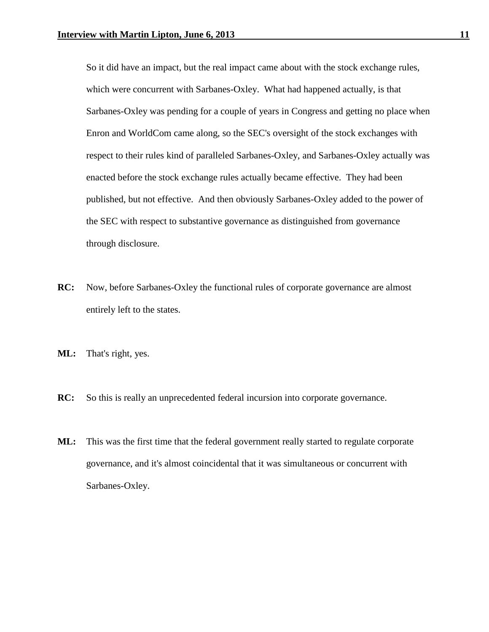So it did have an impact, but the real impact came about with the stock exchange rules, which were concurrent with Sarbanes-Oxley. What had happened actually, is that Sarbanes-Oxley was pending for a couple of years in Congress and getting no place when Enron and WorldCom came along, so the SEC's oversight of the stock exchanges with respect to their rules kind of paralleled Sarbanes-Oxley, and Sarbanes-Oxley actually was enacted before the stock exchange rules actually became effective. They had been published, but not effective. And then obviously Sarbanes-Oxley added to the power of the SEC with respect to substantive governance as distinguished from governance through disclosure.

- **RC:** Now, before Sarbanes-Oxley the functional rules of corporate governance are almost entirely left to the states.
- **ML:** That's right, yes.
- **RC:** So this is really an unprecedented federal incursion into corporate governance.
- **ML:** This was the first time that the federal government really started to regulate corporate governance, and it's almost coincidental that it was simultaneous or concurrent with Sarbanes-Oxley.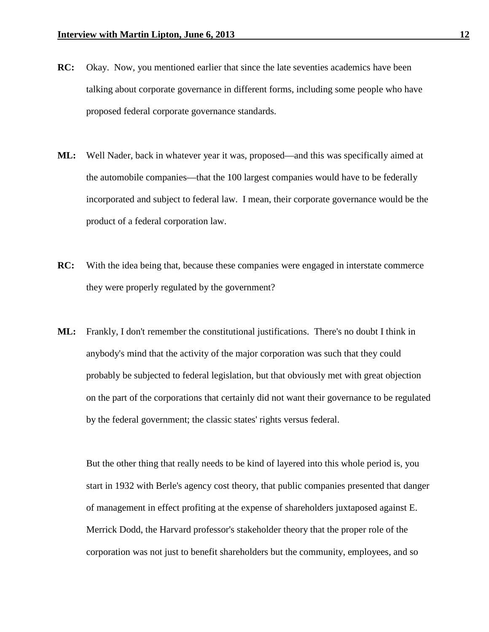- **RC:** Okay. Now, you mentioned earlier that since the late seventies academics have been talking about corporate governance in different forms, including some people who have proposed federal corporate governance standards.
- **ML:** Well Nader, back in whatever year it was, proposed—and this was specifically aimed at the automobile companies—that the 100 largest companies would have to be federally incorporated and subject to federal law. I mean, their corporate governance would be the product of a federal corporation law.
- **RC:** With the idea being that, because these companies were engaged in interstate commerce they were properly regulated by the government?
- **ML:** Frankly, I don't remember the constitutional justifications. There's no doubt I think in anybody's mind that the activity of the major corporation was such that they could probably be subjected to federal legislation, but that obviously met with great objection on the part of the corporations that certainly did not want their governance to be regulated by the federal government; the classic states' rights versus federal.

But the other thing that really needs to be kind of layered into this whole period is, you start in 1932 with Berle's agency cost theory, that public companies presented that danger of management in effect profiting at the expense of shareholders juxtaposed against E. Merrick Dodd, the Harvard professor's stakeholder theory that the proper role of the corporation was not just to benefit shareholders but the community, employees, and so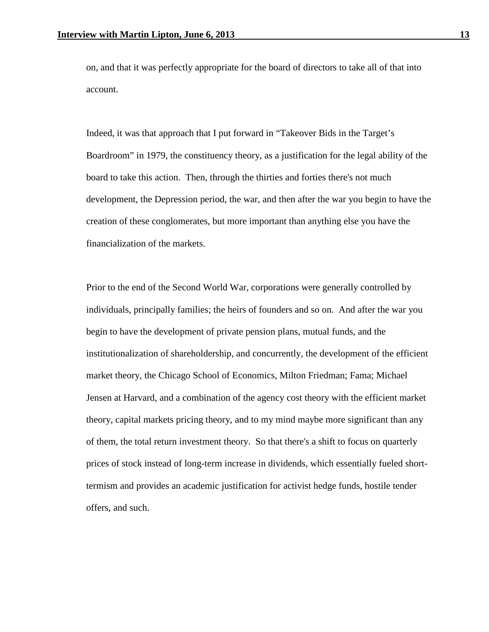on, and that it was perfectly appropriate for the board of directors to take all of that into account.

Indeed, it was that approach that I put forward in "Takeover Bids in the Target's Boardroom" in 1979, the constituency theory, as a justification for the legal ability of the board to take this action. Then, through the thirties and forties there's not much development, the Depression period, the war, and then after the war you begin to have the creation of these conglomerates, but more important than anything else you have the financialization of the markets.

Prior to the end of the Second World War, corporations were generally controlled by individuals, principally families; the heirs of founders and so on. And after the war you begin to have the development of private pension plans, mutual funds, and the institutionalization of shareholdership, and concurrently, the development of the efficient market theory, the Chicago School of Economics, Milton Friedman; Fama; Michael Jensen at Harvard, and a combination of the agency cost theory with the efficient market theory, capital markets pricing theory, and to my mind maybe more significant than any of them, the total return investment theory. So that there's a shift to focus on quarterly prices of stock instead of long-term increase in dividends, which essentially fueled shorttermism and provides an academic justification for activist hedge funds, hostile tender offers, and such.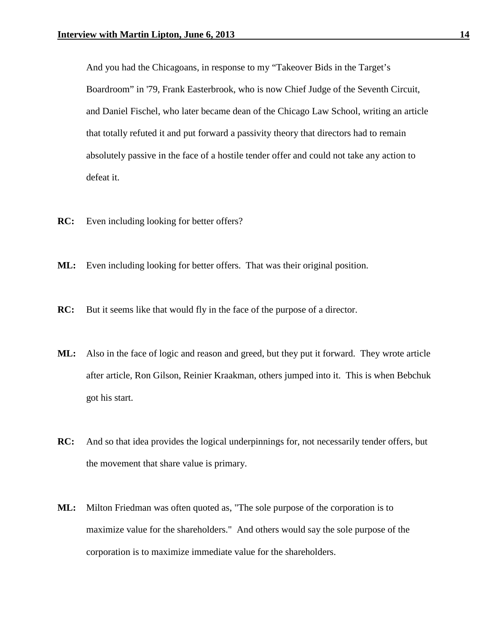And you had the Chicagoans, in response to my "Takeover Bids in the Target's Boardroom" in '79, Frank Easterbrook, who is now Chief Judge of the Seventh Circuit, and Daniel Fischel, who later became dean of the Chicago Law School, writing an article that totally refuted it and put forward a passivity theory that directors had to remain absolutely passive in the face of a hostile tender offer and could not take any action to defeat it.

- **RC:** Even including looking for better offers?
- **ML:** Even including looking for better offers. That was their original position.
- **RC:** But it seems like that would fly in the face of the purpose of a director.
- **ML:** Also in the face of logic and reason and greed, but they put it forward. They wrote article after article, Ron Gilson, Reinier Kraakman, others jumped into it. This is when Bebchuk got his start.
- **RC:** And so that idea provides the logical underpinnings for, not necessarily tender offers, but the movement that share value is primary.
- **ML:** Milton Friedman was often quoted as, "The sole purpose of the corporation is to maximize value for the shareholders." And others would say the sole purpose of the corporation is to maximize immediate value for the shareholders.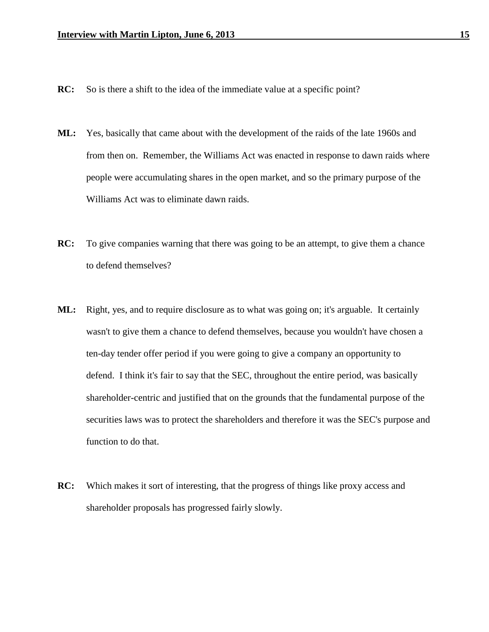- **RC:** So is there a shift to the idea of the immediate value at a specific point?
- **ML:** Yes, basically that came about with the development of the raids of the late 1960s and from then on. Remember, the Williams Act was enacted in response to dawn raids where people were accumulating shares in the open market, and so the primary purpose of the Williams Act was to eliminate dawn raids.
- **RC:** To give companies warning that there was going to be an attempt, to give them a chance to defend themselves?
- **ML:** Right, yes, and to require disclosure as to what was going on; it's arguable. It certainly wasn't to give them a chance to defend themselves, because you wouldn't have chosen a ten-day tender offer period if you were going to give a company an opportunity to defend. I think it's fair to say that the SEC, throughout the entire period, was basically shareholder-centric and justified that on the grounds that the fundamental purpose of the securities laws was to protect the shareholders and therefore it was the SEC's purpose and function to do that.
- **RC:** Which makes it sort of interesting, that the progress of things like proxy access and shareholder proposals has progressed fairly slowly.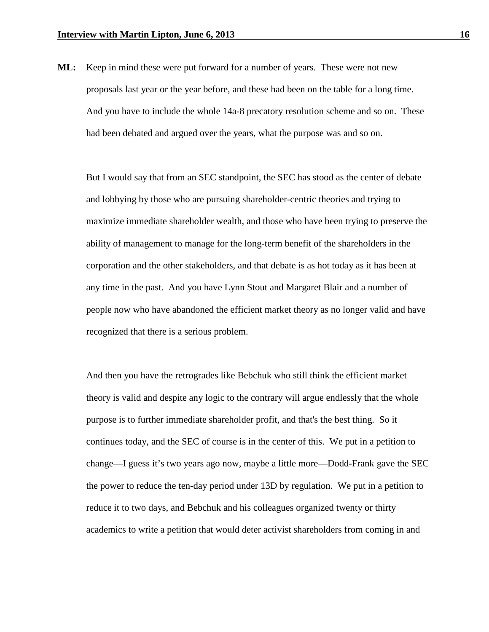**ML:** Keep in mind these were put forward for a number of years. These were not new proposals last year or the year before, and these had been on the table for a long time. And you have to include the whole 14a-8 precatory resolution scheme and so on. These had been debated and argued over the years, what the purpose was and so on.

But I would say that from an SEC standpoint, the SEC has stood as the center of debate and lobbying by those who are pursuing shareholder-centric theories and trying to maximize immediate shareholder wealth, and those who have been trying to preserve the ability of management to manage for the long-term benefit of the shareholders in the corporation and the other stakeholders, and that debate is as hot today as it has been at any time in the past. And you have Lynn Stout and Margaret Blair and a number of people now who have abandoned the efficient market theory as no longer valid and have recognized that there is a serious problem.

And then you have the retrogrades like Bebchuk who still think the efficient market theory is valid and despite any logic to the contrary will argue endlessly that the whole purpose is to further immediate shareholder profit, and that's the best thing. So it continues today, and the SEC of course is in the center of this. We put in a petition to change—I guess it's two years ago now, maybe a little more—Dodd-Frank gave the SEC the power to reduce the ten-day period under 13D by regulation. We put in a petition to reduce it to two days, and Bebchuk and his colleagues organized twenty or thirty academics to write a petition that would deter activist shareholders from coming in and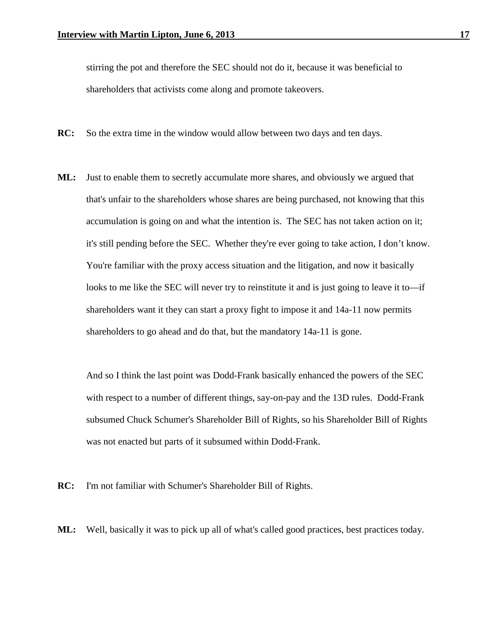stirring the pot and therefore the SEC should not do it, because it was beneficial to shareholders that activists come along and promote takeovers.

- **RC:** So the extra time in the window would allow between two days and ten days.
- **ML:** Just to enable them to secretly accumulate more shares, and obviously we argued that that's unfair to the shareholders whose shares are being purchased, not knowing that this accumulation is going on and what the intention is. The SEC has not taken action on it; it's still pending before the SEC. Whether they're ever going to take action, I don't know. You're familiar with the proxy access situation and the litigation, and now it basically looks to me like the SEC will never try to reinstitute it and is just going to leave it to—if shareholders want it they can start a proxy fight to impose it and 14a-11 now permits shareholders to go ahead and do that, but the mandatory 14a-11 is gone.

And so I think the last point was Dodd-Frank basically enhanced the powers of the SEC with respect to a number of different things, say-on-pay and the 13D rules. Dodd-Frank subsumed Chuck Schumer's Shareholder Bill of Rights, so his Shareholder Bill of Rights was not enacted but parts of it subsumed within Dodd-Frank.

**RC:** I'm not familiar with Schumer's Shareholder Bill of Rights.

**ML:** Well, basically it was to pick up all of what's called good practices, best practices today.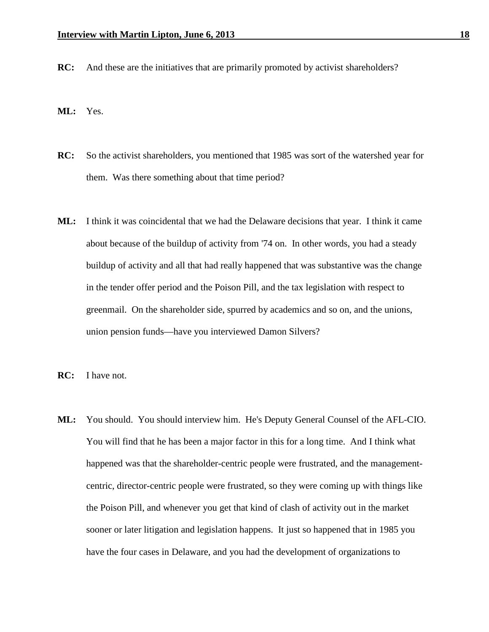- **RC:** And these are the initiatives that are primarily promoted by activist shareholders?
- **ML:** Yes.
- **RC:** So the activist shareholders, you mentioned that 1985 was sort of the watershed year for them. Was there something about that time period?
- **ML:** I think it was coincidental that we had the Delaware decisions that year. I think it came about because of the buildup of activity from '74 on. In other words, you had a steady buildup of activity and all that had really happened that was substantive was the change in the tender offer period and the Poison Pill, and the tax legislation with respect to greenmail. On the shareholder side, spurred by academics and so on, and the unions, union pension funds—have you interviewed Damon Silvers?
- **RC:** I have not.
- **ML:** You should. You should interview him. He's Deputy General Counsel of the AFL-CIO. You will find that he has been a major factor in this for a long time. And I think what happened was that the shareholder-centric people were frustrated, and the managementcentric, director-centric people were frustrated, so they were coming up with things like the Poison Pill, and whenever you get that kind of clash of activity out in the market sooner or later litigation and legislation happens. It just so happened that in 1985 you have the four cases in Delaware, and you had the development of organizations to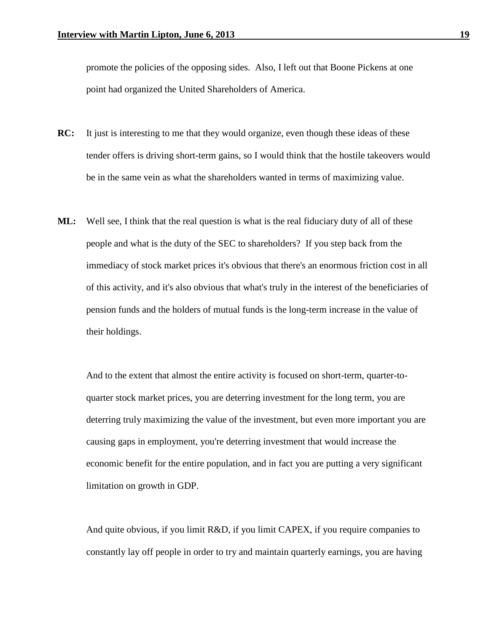promote the policies of the opposing sides. Also, I left out that Boone Pickens at one point had organized the United Shareholders of America.

- **RC:** It just is interesting to me that they would organize, even though these ideas of these tender offers is driving short-term gains, so I would think that the hostile takeovers would be in the same vein as what the shareholders wanted in terms of maximizing value.
- **ML:** Well see, I think that the real question is what is the real fiduciary duty of all of these people and what is the duty of the SEC to shareholders? If you step back from the immediacy of stock market prices it's obvious that there's an enormous friction cost in all of this activity, and it's also obvious that what's truly in the interest of the beneficiaries of pension funds and the holders of mutual funds is the long-term increase in the value of their holdings.

And to the extent that almost the entire activity is focused on short-term, quarter-toquarter stock market prices, you are deterring investment for the long term, you are deterring truly maximizing the value of the investment, but even more important you are causing gaps in employment, you're deterring investment that would increase the economic benefit for the entire population, and in fact you are putting a very significant limitation on growth in GDP.

And quite obvious, if you limit R&D, if you limit CAPEX, if you require companies to constantly lay off people in order to try and maintain quarterly earnings, you are having